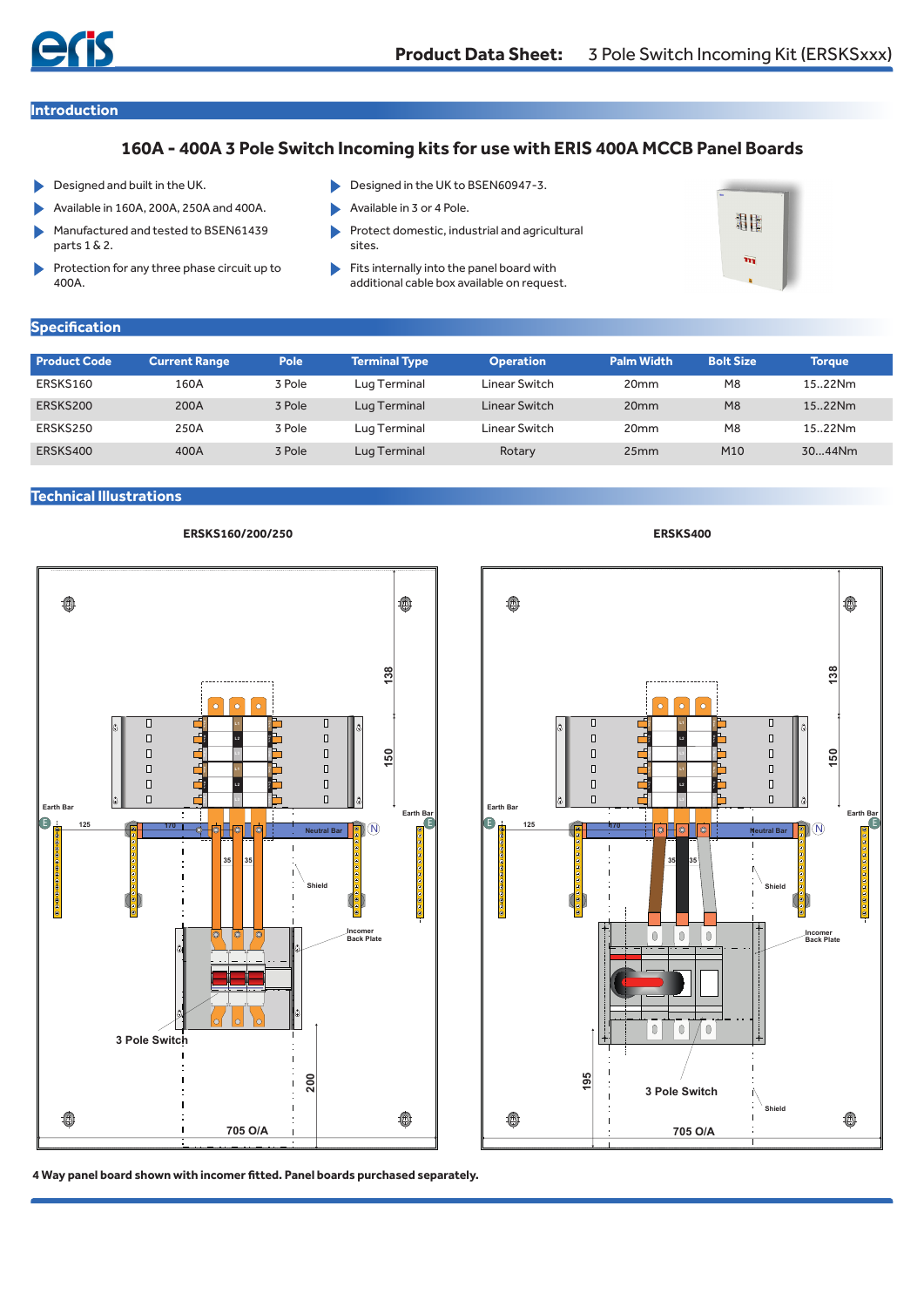**Introduction**

# **160A - 400A 3 Pole Switch Incoming kits for use with ERIS 400A MCCB Panel Boards**

- Designed and built in the UK. ь
- Available in 160A, 200A, 250A and 400A.
- Manufactured and tested to BSEN61439 parts 1 & 2.
- Protection for any three phase circuit up to 400A.
- Designed in the UK to BSEN60947-3.
- b Available in 3 or 4 Pole.
- Protect domestic, industrial and agricultural sites.
- Fits internally into the panel board with ь additional cable box available on request.



## **Specification**

| <b>Product Code</b> | <b>Current Range</b> | Pole   | <b>Terminal Type</b> | <b>Operation</b> | <b>Palm Width</b> | <b>Bolt Size</b> | Torque  |
|---------------------|----------------------|--------|----------------------|------------------|-------------------|------------------|---------|
| ERSKS160            | 160A                 | 3 Pole | Lug Terminal         | Linear Switch    | 20 <sub>mm</sub>  | M <sub>8</sub>   | 15.22Nm |
| ERSKS200            | 200A                 | 3 Pole | Lug Terminal         | Linear Switch    | 20 <sub>mm</sub>  | M8               | 15.22Nm |
| ERSKS250            | 250A                 | 3 Pole | Lug Terminal         | Linear Switch    | 20 <sub>mm</sub>  | M <sub>8</sub>   | 15.22Nm |
| ERSKS400            | 400A                 | 3 Pole | Lug Terminal         | Rotary           | 25mm              | M10              | 3044Nm  |

#### **Technical Illustrations**







**4 Way panel board shown with incomer fitted. Panel boards purchased separately.**